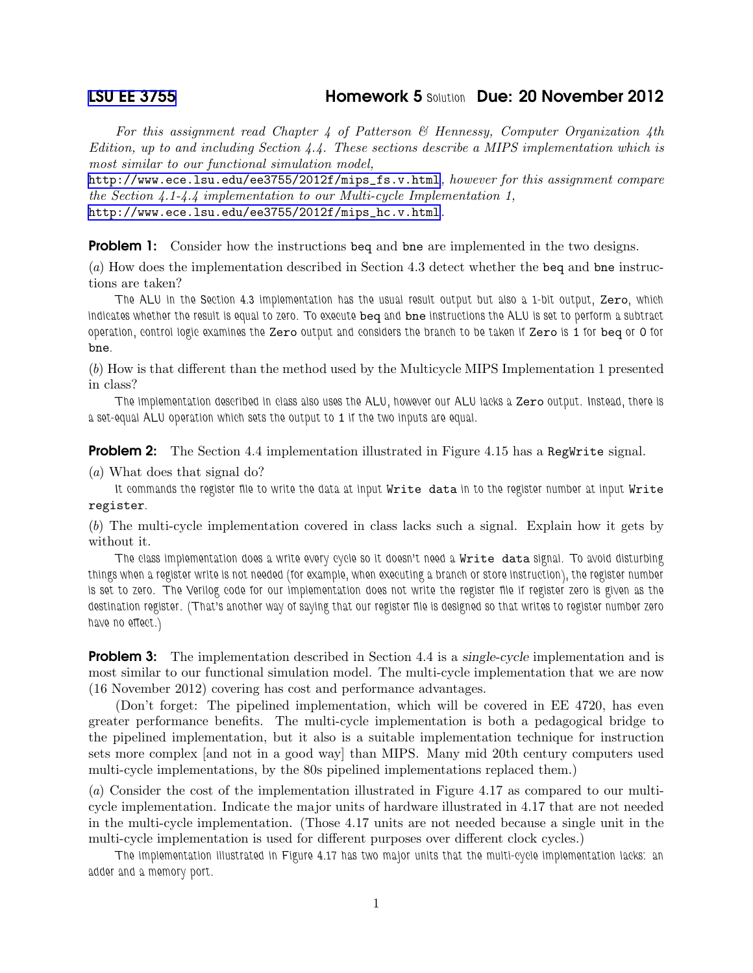## [LSU EE 3755](http://www.ece.lsu.edu/ee3755/) Homework 5 *Solution* Due: 20 November 2012

For this assignment read Chapter 4 of Patterson  $\mathcal B$  Hennessy, Computer Organization 4th Edition, up to and including Section 4.4. These sections describe a MIPS implementation which is most similar to our functional simulation model,

[http://www.ece.lsu.edu/ee3755/2012f/mips\\_fs.v.html](http://www.ece.lsu.edu/ee3755/2012f/mips_fs.v.html), however for this assignment compare the Section 4.1-4.4 implementation to our Multi-cycle Implementation 1, [http://www.ece.lsu.edu/ee3755/2012f/mips\\_hc.v.html](http://www.ece.lsu.edu/ee3755/2012f/mips_hc.v.html).

**Problem 1:** Consider how the instructions beq and bne are implemented in the two designs.

(a) How does the implementation described in Section 4.3 detect whether the beq and bne instructions are taken?

*The ALU in the Section 4.3 implementation has the usual result output but also a 1-bit output,* Zero*, which indicates whether the result is equal to zero. To execute* beq *and* bne *instructions the ALU is set to perform a subtract operation, control logic examines the* Zero *output and considers the branch to be taken if* Zero *is* 1 *for* beq *or* 0 *for* bne*.*

(b) How is that different than the method used by the Multicycle MIPS Implementation 1 presented in class?

*The implementation described in class also uses the ALU, however our ALU lacks a* Zero *output. Instead, there is a set-equal ALU operation which sets the output to* 1 *if the two inputs are equal.*

**Problem 2:** The Section 4.4 implementation illustrated in Figure 4.15 has a RegWrite signal.

(a) What does that signal do?

*It commands the register file to write the data at input* Write data *in to the register number at input* Write register*.*

(b) The multi-cycle implementation covered in class lacks such a signal. Explain how it gets by without it.

*The class implementation does a write every cycle so it doesn't need a* Write data *signal. To avoid disturbing things when a register write is not needed (for example, when executing a branch or store instruction), the register number is set to zero. The Verilog code for our implementation does not write the register file if register zero is given as the destination register. (That's another way of saying that our register file is designed so that writes to register number zero have no effect.)*

**Problem 3:** The implementation described in Section 4.4 is a single-cycle implementation and is most similar to our functional simulation model. The multi-cycle implementation that we are now (16 November 2012) covering has cost and performance advantages.

(Don't forget: The pipelined implementation, which will be covered in EE 4720, has even greater performance benefits. The multi-cycle implementation is both a pedagogical bridge to the pipelined implementation, but it also is a suitable implementation technique for instruction sets more complex [and not in a good way] than MIPS. Many mid 20th century computers used multi-cycle implementations, by the 80s pipelined implementations replaced them.)

(a) Consider the cost of the implementation illustrated in Figure 4.17 as compared to our multicycle implementation. Indicate the major units of hardware illustrated in 4.17 that are not needed in the multi-cycle implementation. (Those 4.17 units are not needed because a single unit in the multi-cycle implementation is used for different purposes over different clock cycles.)

*The implementation illustrated in Figure 4.17 has two major units that the multi-cycle implementation lacks: an adder and a memory port.*